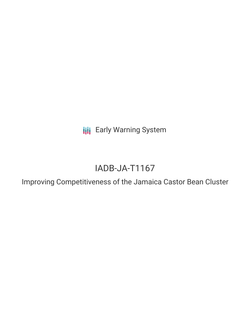**III** Early Warning System

# IADB-JA-T1167

Improving Competitiveness of the Jamaica Castor Bean Cluster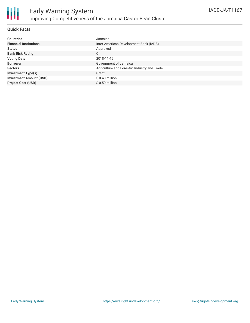

### **Quick Facts**

| <b>Countries</b>               | Jamaica                                      |
|--------------------------------|----------------------------------------------|
| <b>Financial Institutions</b>  | Inter-American Development Bank (IADB)       |
| <b>Status</b>                  | Approved                                     |
| <b>Bank Risk Rating</b>        | C                                            |
| <b>Voting Date</b>             | 2018-11-19                                   |
| <b>Borrower</b>                | Government of Jamaica                        |
| <b>Sectors</b>                 | Agriculture and Forestry, Industry and Trade |
| <b>Investment Type(s)</b>      | Grant                                        |
| <b>Investment Amount (USD)</b> | $$0.40$ million                              |
| <b>Project Cost (USD)</b>      | $$0.50$ million                              |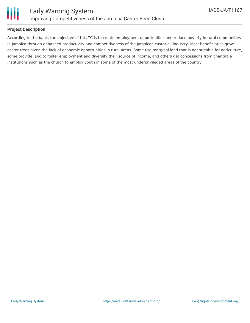

### **Project Description**

According to the bank, the objective of this TC is to create employment opportunities and reduce poverty in rural communities in Jamaica through enhanced productivity and competitiveness of the Jamaican castor oil industry. Most beneficiaries grow castor trees given the lack of economic opportunities in rural areas. Some use marginal land that is not suitable for agriculture, some provide land to foster employment and diversify their source of income, and others get concessions from charitable institutions such as the church to employ youth in some of the most underprivileged areas of the country.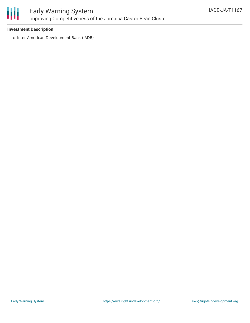

# Early Warning System Improving Competitiveness of the Jamaica Castor Bean Cluster

### **Investment Description**

• Inter-American Development Bank (IADB)